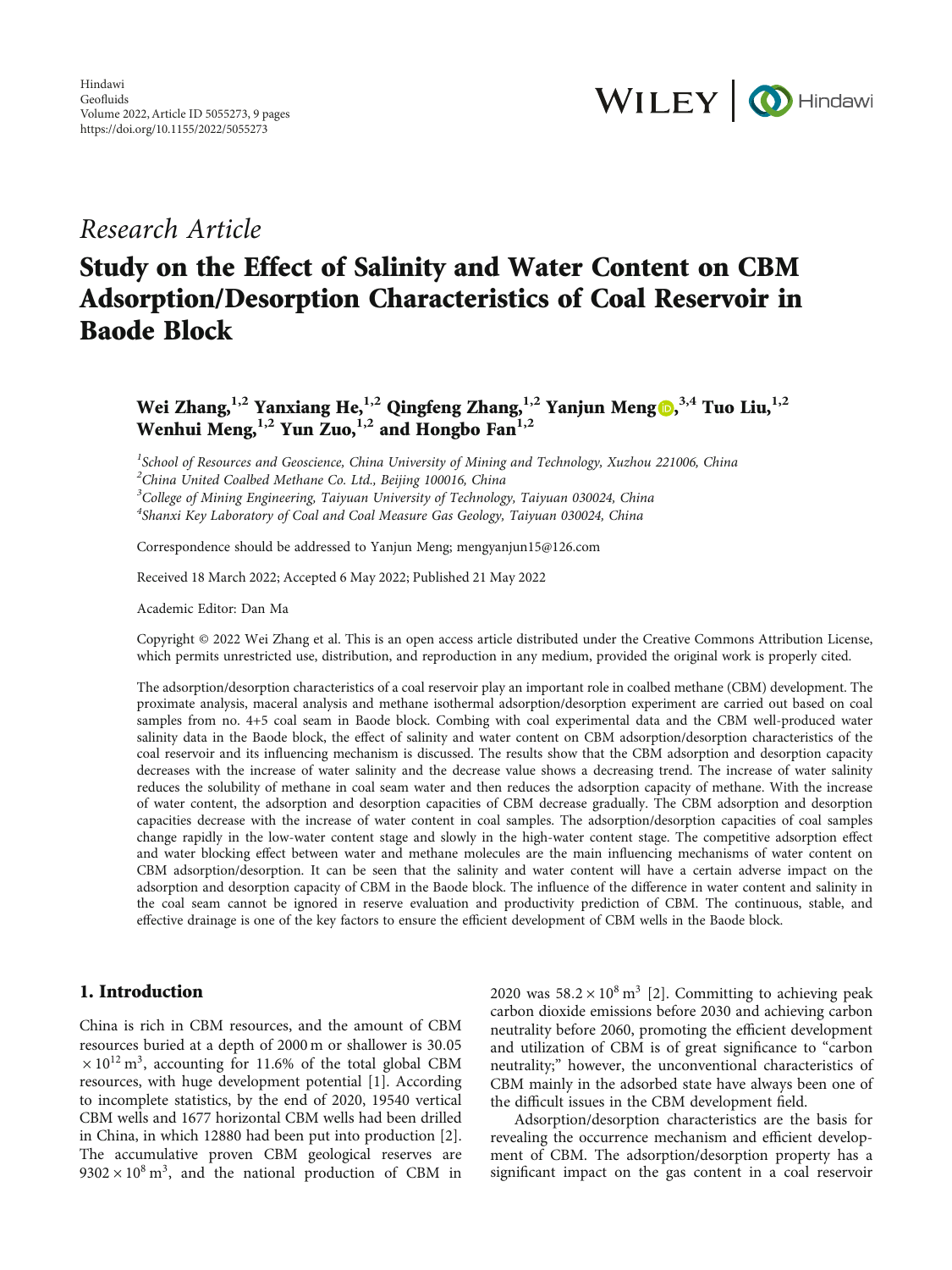

## Research Article

# Study on the Effect of Salinity and Water Content on CBM Adsorption/Desorption Characteristics of Coal Reservoir in Baode Block

Wei Zhang,**1,2** Yanxiang He,**1,2** Qingfeng Zhang,**1,2** Yanjun Meng [,](https://orcid.org/0000-0002-7767-8253) **3,4** Tuo Liu,**1,2** Wenhui Meng,**1,2** Yun Zuo,**1,2** and Hongbo Fan**1,2**

<sup>1</sup>School of Resources and Geoscience, China University of Mining and Technology, Xuzhou 221006, China <sup>2</sup>China United Coalbed Methane Co. Ltd., Beijing 100016, China <sup>3</sup>College of Mining Engineering, Taiyuan University of Technology, Taiyuan 030024, China <sup>4</sup>Shanxi Key Laboratory of Coal and Coal Measure Gas Geology, Taiyuan 030024, China

Correspondence should be addressed to Yanjun Meng; mengyanjun15@126.com

Received 18 March 2022; Accepted 6 May 2022; Published 21 May 2022

Academic Editor: Dan Ma

Copyright © 2022 Wei Zhang et al. This is an open access article distributed under the [Creative Commons Attribution License](https://creativecommons.org/licenses/by/4.0/), which permits unrestricted use, distribution, and reproduction in any medium, provided the original work is properly cited.

The adsorption/desorption characteristics of a coal reservoir play an important role in coalbed methane (CBM) development. The proximate analysis, maceral analysis and methane isothermal adsorption/desorption experiment are carried out based on coal samples from no. 4+5 coal seam in Baode block. Combing with coal experimental data and the CBM well-produced water salinity data in the Baode block, the effect of salinity and water content on CBM adsorption/desorption characteristics of the coal reservoir and its influencing mechanism is discussed. The results show that the CBM adsorption and desorption capacity decreases with the increase of water salinity and the decrease value shows a decreasing trend. The increase of water salinity reduces the solubility of methane in coal seam water and then reduces the adsorption capacity of methane. With the increase of water content, the adsorption and desorption capacities of CBM decrease gradually. The CBM adsorption and desorption capacities decrease with the increase of water content in coal samples. The adsorption/desorption capacities of coal samples change rapidly in the low-water content stage and slowly in the high-water content stage. The competitive adsorption effect and water blocking effect between water and methane molecules are the main influencing mechanisms of water content on CBM adsorption/desorption. It can be seen that the salinity and water content will have a certain adverse impact on the adsorption and desorption capacity of CBM in the Baode block. The influence of the difference in water content and salinity in the coal seam cannot be ignored in reserve evaluation and productivity prediction of CBM. The continuous, stable, and effective drainage is one of the key factors to ensure the efficient development of CBM wells in the Baode block.

## 1. Introduction

China is rich in CBM resources, and the amount of CBM resources buried at a depth of 2000 m or shallower is 30*:*05  $\times$  10<sup>12</sup> m<sup>3</sup>, accounting for 11.6% of the total global CBM resources, with huge development potential [\[1](#page-8-0)]. According to incomplete statistics, by the end of 2020, 19540 vertical CBM wells and 1677 horizontal CBM wells had been drilled in China, in which 12880 had been put into production [[2](#page-8-0)]. The accumulative proven CBM geological reserves are  $9302 \times 10^8$  m<sup>3</sup>, and the national production of CBM in 2020 was  $58.2 \times 10^8$  m<sup>3</sup> [\[2](#page-8-0)]. Committing to achieving peak carbon dioxide emissions before 2030 and achieving carbon neutrality before 2060, promoting the efficient development and utilization of CBM is of great significance to "carbon neutrality;" however, the unconventional characteristics of CBM mainly in the adsorbed state have always been one of the difficult issues in the CBM development field.

Adsorption/desorption characteristics are the basis for revealing the occurrence mechanism and efficient development of CBM. The adsorption/desorption property has a significant impact on the gas content in a coal reservoir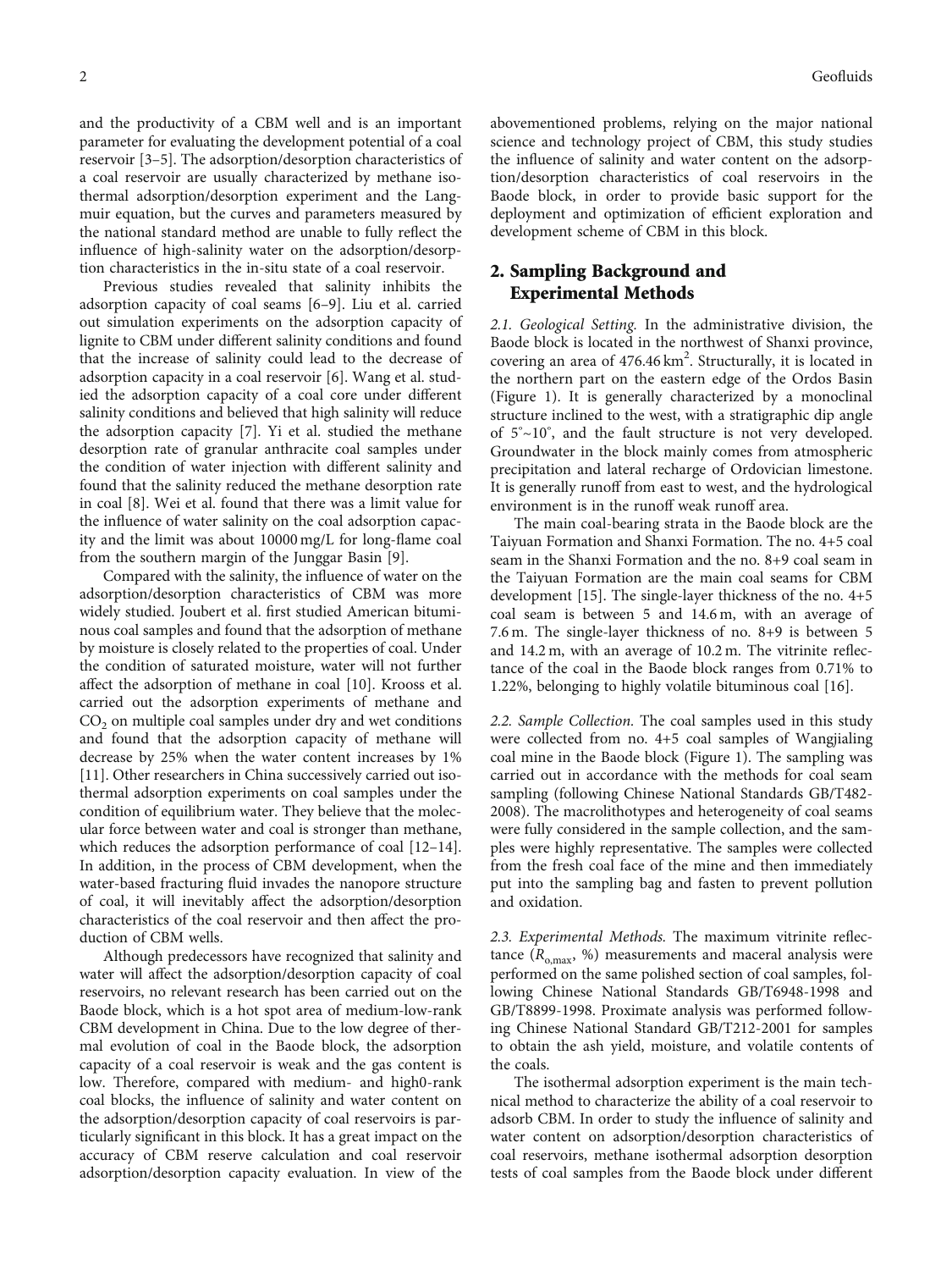and the productivity of a CBM well and is an important parameter for evaluating the development potential of a coal reservoir [\[3](#page-8-0)–[5\]](#page-8-0). The adsorption/desorption characteristics of a coal reservoir are usually characterized by methane isothermal adsorption/desorption experiment and the Langmuir equation, but the curves and parameters measured by the national standard method are unable to fully reflect the influence of high-salinity water on the adsorption/desorption characteristics in the in-situ state of a coal reservoir.

Previous studies revealed that salinity inhibits the adsorption capacity of coal seams [\[6](#page-8-0)–[9\]](#page-8-0). Liu et al. carried out simulation experiments on the adsorption capacity of lignite to CBM under different salinity conditions and found that the increase of salinity could lead to the decrease of adsorption capacity in a coal reservoir [[6\]](#page-8-0). Wang et al. studied the adsorption capacity of a coal core under different salinity conditions and believed that high salinity will reduce the adsorption capacity [\[7\]](#page-8-0). Yi et al. studied the methane desorption rate of granular anthracite coal samples under the condition of water injection with different salinity and found that the salinity reduced the methane desorption rate in coal [[8](#page-8-0)]. Wei et al. found that there was a limit value for the influence of water salinity on the coal adsorption capacity and the limit was about 10000 mg/L for long-flame coal from the southern margin of the Junggar Basin [\[9](#page-8-0)].

Compared with the salinity, the influence of water on the adsorption/desorption characteristics of CBM was more widely studied. Joubert et al. first studied American bituminous coal samples and found that the adsorption of methane by moisture is closely related to the properties of coal. Under the condition of saturated moisture, water will not further affect the adsorption of methane in coal [\[10](#page-8-0)]. Krooss et al. carried out the adsorption experiments of methane and  $CO<sub>2</sub>$  on multiple coal samples under dry and wet conditions and found that the adsorption capacity of methane will decrease by 25% when the water content increases by 1% [\[11](#page-8-0)]. Other researchers in China successively carried out isothermal adsorption experiments on coal samples under the condition of equilibrium water. They believe that the molecular force between water and coal is stronger than methane, which reduces the adsorption performance of coal [\[12](#page-8-0)–[14](#page-8-0)]. In addition, in the process of CBM development, when the water-based fracturing fluid invades the nanopore structure of coal, it will inevitably affect the adsorption/desorption characteristics of the coal reservoir and then affect the production of CBM wells.

Although predecessors have recognized that salinity and water will affect the adsorption/desorption capacity of coal reservoirs, no relevant research has been carried out on the Baode block, which is a hot spot area of medium-low-rank CBM development in China. Due to the low degree of thermal evolution of coal in the Baode block, the adsorption capacity of a coal reservoir is weak and the gas content is low. Therefore, compared with medium- and high0-rank coal blocks, the influence of salinity and water content on the adsorption/desorption capacity of coal reservoirs is particularly significant in this block. It has a great impact on the accuracy of CBM reserve calculation and coal reservoir adsorption/desorption capacity evaluation. In view of the abovementioned problems, relying on the major national science and technology project of CBM, this study studies the influence of salinity and water content on the adsorption/desorption characteristics of coal reservoirs in the Baode block, in order to provide basic support for the deployment and optimization of efficient exploration and development scheme of CBM in this block.

## 2. Sampling Background and Experimental Methods

2.1. Geological Setting. In the administrative division, the Baode block is located in the northwest of Shanxi province, covering an area of 476.46 km<sup>2</sup>. Structurally, it is located in the northern part on the eastern edge of the Ordos Basin (Figure [1\)](#page-2-0). It is generally characterized by a monoclinal structure inclined to the west, with a stratigraphic dip angle of 5° <sup>~</sup>10° , and the fault structure is not very developed. Groundwater in the block mainly comes from atmospheric precipitation and lateral recharge of Ordovician limestone. It is generally runoff from east to west, and the hydrological environment is in the runoff weak runoff area.

The main coal-bearing strata in the Baode block are the Taiyuan Formation and Shanxi Formation. The no. 4+5 coal seam in the Shanxi Formation and the no. 8+9 coal seam in the Taiyuan Formation are the main coal seams for CBM development [\[15\]](#page-8-0). The single-layer thickness of the no. 4+5 coal seam is between 5 and 14.6 m, with an average of 7.6 m. The single-layer thickness of no. 8+9 is between 5 and 14.2 m, with an average of 10.2 m. The vitrinite reflectance of the coal in the Baode block ranges from 0.71% to 1.22%, belonging to highly volatile bituminous coal [[16](#page-8-0)].

2.2. Sample Collection. The coal samples used in this study were collected from no. 4+5 coal samples of Wangjialing coal mine in the Baode block (Figure [1\)](#page-2-0). The sampling was carried out in accordance with the methods for coal seam sampling (following Chinese National Standards GB/T482- 2008). The macrolithotypes and heterogeneity of coal seams were fully considered in the sample collection, and the samples were highly representative. The samples were collected from the fresh coal face of the mine and then immediately put into the sampling bag and fasten to prevent pollution and oxidation.

2.3. Experimental Methods. The maximum vitrinite reflectance  $(R_{o,max}, %$  measurements and maceral analysis were performed on the same polished section of coal samples, following Chinese National Standards GB/T6948-1998 and GB/T8899-1998. Proximate analysis was performed following Chinese National Standard GB/T212-2001 for samples to obtain the ash yield, moisture, and volatile contents of the coals.

The isothermal adsorption experiment is the main technical method to characterize the ability of a coal reservoir to adsorb CBM. In order to study the influence of salinity and water content on adsorption/desorption characteristics of coal reservoirs, methane isothermal adsorption desorption tests of coal samples from the Baode block under different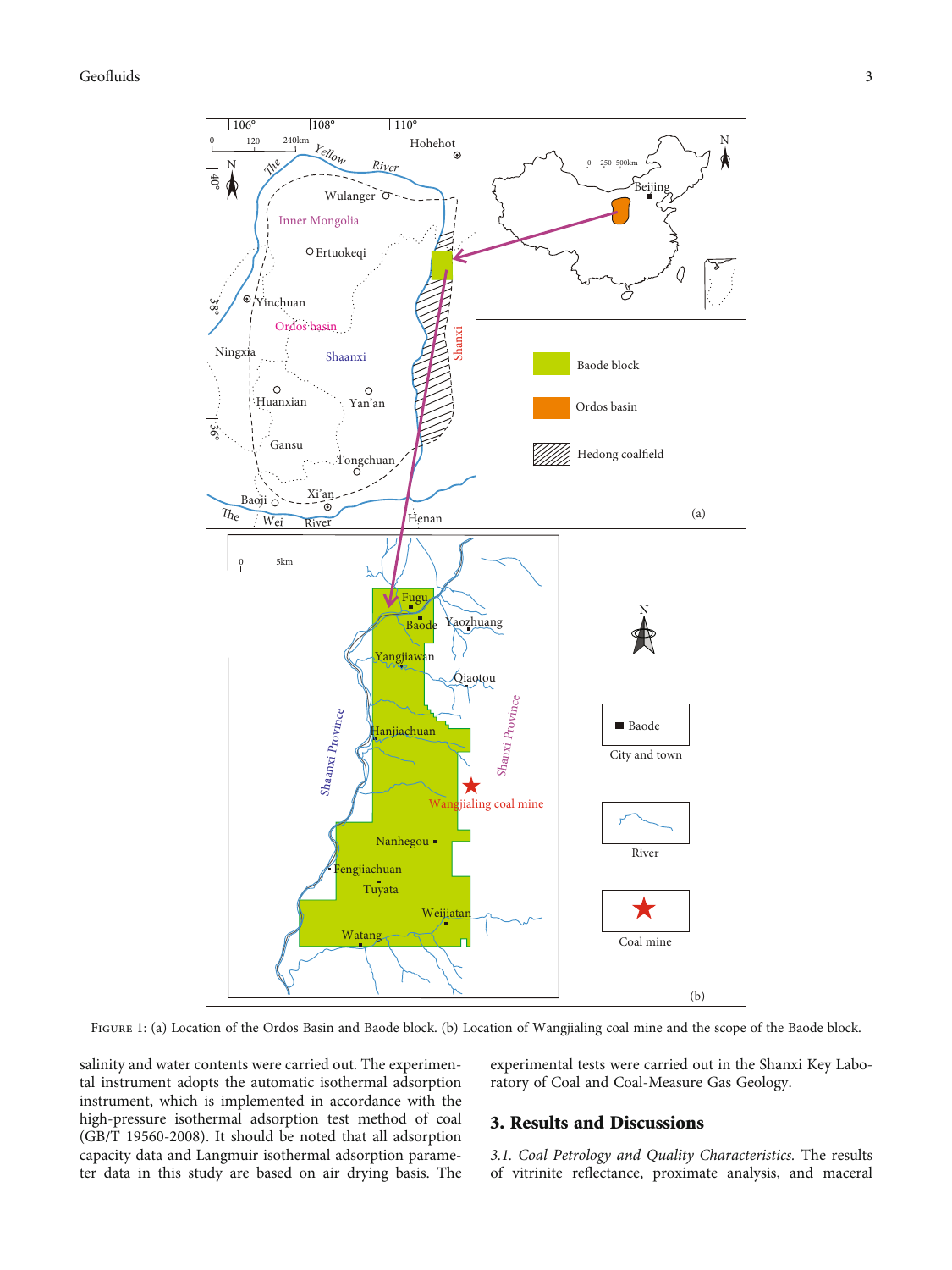## <span id="page-2-0"></span>Geofluids 3



Figure 1: (a) Location of the Ordos Basin and Baode block. (b) Location of Wangjialing coal mine and the scope of the Baode block.

salinity and water contents were carried out. The experimental instrument adopts the automatic isothermal adsorption instrument, which is implemented in accordance with the high-pressure isothermal adsorption test method of coal (GB/T 19560-2008). It should be noted that all adsorption capacity data and Langmuir isothermal adsorption parameter data in this study are based on air drying basis. The experimental tests were carried out in the Shanxi Key Laboratory of Coal and Coal-Measure Gas Geology.

#### 3. Results and Discussions

3.1. Coal Petrology and Quality Characteristics. The results of vitrinite reflectance, proximate analysis, and maceral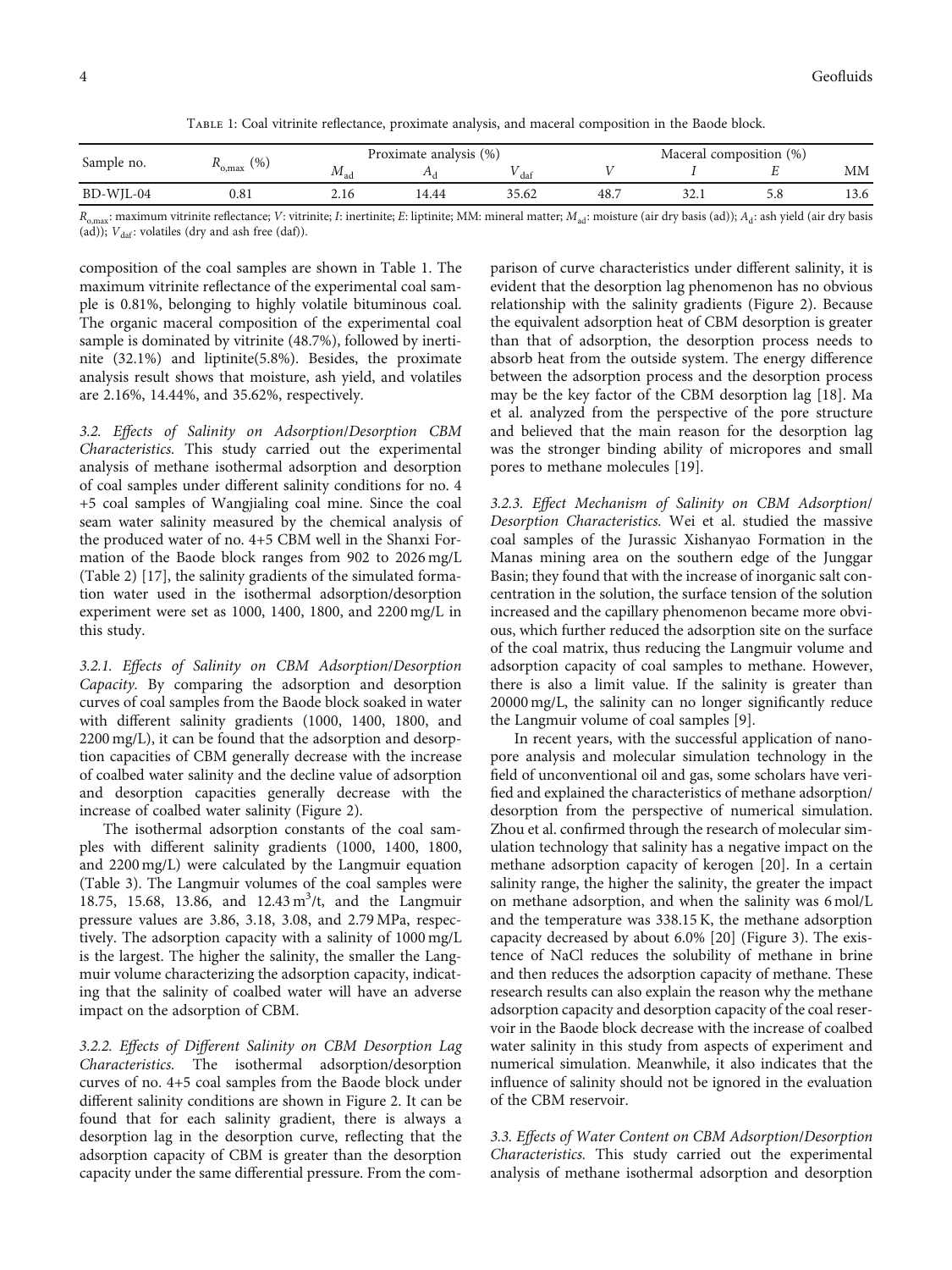Table 1: Coal vitrinite reflectance, proximate analysis, and maceral composition in the Baode block.

|            |                       | Proximate analysis (%) |       |       | Maceral composition (%) |      |     |      |
|------------|-----------------------|------------------------|-------|-------|-------------------------|------|-----|------|
| Sample no. | $R_{o,\text{max}}(%)$ | $^{1VI}$ ad            |       | dat   |                         |      |     | MМ   |
| BD-WJL-04  | 0.8                   |                        | 14.44 | 35.62 | 48.7                    | ہ کر | 5.8 | 13.6 |

 $R_{\text{o,max}}$ ; maximum vitrinite reflectance; *V*: vitrinite; *I*: inertinite; *E*: liptinite; *MM*: mineral matter;  $M_{\text{ad}}$ ; moisture (air dry basis (ad));  $A_d$ : ash yield (air dry basis (ad));  $V_{\text{daf}}$ : volatiles (dry and ash free (daf)).

composition of the coal samples are shown in Table 1. The maximum vitrinite reflectance of the experimental coal sample is 0.81%, belonging to highly volatile bituminous coal. The organic maceral composition of the experimental coal sample is dominated by vitrinite (48.7%), followed by inertinite (32.1%) and liptinite(5.8%). Besides, the proximate analysis result shows that moisture, ash yield, and volatiles are 2.16%, 14.44%, and 35.62%, respectively.

3.2. Effects of Salinity on Adsorption/Desorption CBM Characteristics. This study carried out the experimental analysis of methane isothermal adsorption and desorption of coal samples under different salinity conditions for no. 4 +5 coal samples of Wangjialing coal mine. Since the coal seam water salinity measured by the chemical analysis of the produced water of no. 4+5 CBM well in the Shanxi Formation of the Baode block ranges from 902 to 2026 mg/L (Table [2](#page-4-0)) [[17](#page-8-0)], the salinity gradients of the simulated formation water used in the isothermal adsorption/desorption experiment were set as 1000, 1400, 1800, and 2200 mg/L in this study.

3.2.1. Effects of Salinity on CBM Adsorption/Desorption Capacity. By comparing the adsorption and desorption curves of coal samples from the Baode block soaked in water with different salinity gradients (1000, 1400, 1800, and 2200 mg/L), it can be found that the adsorption and desorption capacities of CBM generally decrease with the increase of coalbed water salinity and the decline value of adsorption and desorption capacities generally decrease with the increase of coalbed water salinity (Figure [2](#page-4-0)).

The isothermal adsorption constants of the coal samples with different salinity gradients (1000, 1400, 1800, and 2200 mg/L) were calculated by the Langmuir equation (Table [3\)](#page-4-0). The Langmuir volumes of the coal samples were 18.75, 15.68, 13.86, and 12.43 m<sup>3</sup>/t, and the Langmuir pressure values are 3.86, 3.18, 3.08, and 2.79 MPa, respectively. The adsorption capacity with a salinity of 1000 mg/L is the largest. The higher the salinity, the smaller the Langmuir volume characterizing the adsorption capacity, indicating that the salinity of coalbed water will have an adverse impact on the adsorption of CBM.

3.2.2. Effects of Different Salinity on CBM Desorption Lag Characteristics. The isothermal adsorption/desorption curves of no. 4+5 coal samples from the Baode block under different salinity conditions are shown in Figure [2.](#page-4-0) It can be found that for each salinity gradient, there is always a desorption lag in the desorption curve, reflecting that the adsorption capacity of CBM is greater than the desorption capacity under the same differential pressure. From the comparison of curve characteristics under different salinity, it is evident that the desorption lag phenomenon has no obvious relationship with the salinity gradients (Figure [2\)](#page-4-0). Because the equivalent adsorption heat of CBM desorption is greater than that of adsorption, the desorption process needs to absorb heat from the outside system. The energy difference between the adsorption process and the desorption process may be the key factor of the CBM desorption lag [\[18\]](#page-8-0). Ma et al. analyzed from the perspective of the pore structure and believed that the main reason for the desorption lag was the stronger binding ability of micropores and small pores to methane molecules [\[19\]](#page-8-0).

3.2.3. Effect Mechanism of Salinity on CBM Adsorption/ Desorption Characteristics. Wei et al. studied the massive coal samples of the Jurassic Xishanyao Formation in the Manas mining area on the southern edge of the Junggar Basin; they found that with the increase of inorganic salt concentration in the solution, the surface tension of the solution increased and the capillary phenomenon became more obvious, which further reduced the adsorption site on the surface of the coal matrix, thus reducing the Langmuir volume and adsorption capacity of coal samples to methane. However, there is also a limit value. If the salinity is greater than 20000 mg/L, the salinity can no longer significantly reduce the Langmuir volume of coal samples [[9\]](#page-8-0).

In recent years, with the successful application of nanopore analysis and molecular simulation technology in the field of unconventional oil and gas, some scholars have verified and explained the characteristics of methane adsorption/ desorption from the perspective of numerical simulation. Zhou et al. confirmed through the research of molecular simulation technology that salinity has a negative impact on the methane adsorption capacity of kerogen [\[20\]](#page-8-0). In a certain salinity range, the higher the salinity, the greater the impact on methane adsorption, and when the salinity was 6 mol/L and the temperature was 338.15 K, the methane adsorption capacity decreased by about 6.0% [[20](#page-8-0)] (Figure [3\)](#page-5-0). The existence of NaCl reduces the solubility of methane in brine and then reduces the adsorption capacity of methane. These research results can also explain the reason why the methane adsorption capacity and desorption capacity of the coal reservoir in the Baode block decrease with the increase of coalbed water salinity in this study from aspects of experiment and numerical simulation. Meanwhile, it also indicates that the influence of salinity should not be ignored in the evaluation of the CBM reservoir.

3.3. Effects of Water Content on CBM Adsorption/Desorption Characteristics. This study carried out the experimental analysis of methane isothermal adsorption and desorption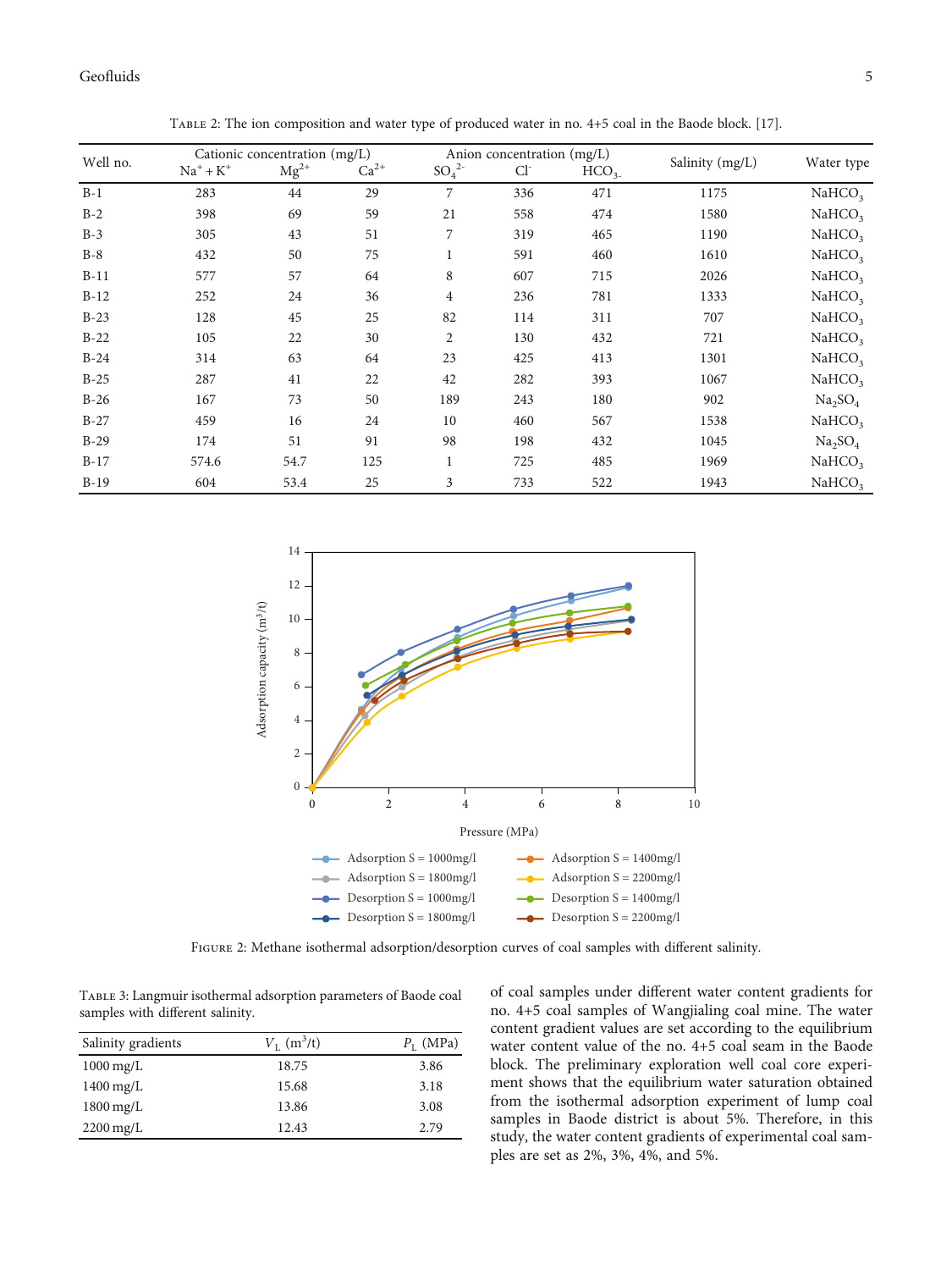<span id="page-4-0"></span>

| Well no. | Cationic concentration (mg/L) |           |           | Anion concentration (mg/L) |       |                  |                 |                                 |
|----------|-------------------------------|-----------|-----------|----------------------------|-------|------------------|-----------------|---------------------------------|
|          | $Na^+ + K^+$                  | $Mg^{2+}$ | $Ca^{2+}$ | $SO_4^2$                   | $Cl-$ | HCO <sub>3</sub> | Salinity (mg/L) | Water type                      |
| $B-1$    | 283                           | 44        | 29        | 7                          | 336   | 471              | 1175            | NaHCO <sub>3</sub>              |
| $B-2$    | 398                           | 69        | 59        | 21                         | 558   | 474              | 1580            | NaHCO <sub>3</sub>              |
| $B-3$    | 305                           | 43        | 51        | 7                          | 319   | 465              | 1190            | NaHCO <sub>3</sub>              |
| $B-8$    | 432                           | 50        | 75        | $\mathbf{1}$               | 591   | 460              | 1610            | NaHCO <sub>3</sub>              |
| $B-11$   | 577                           | 57        | 64        | 8                          | 607   | 715              | 2026            | NaHCO <sub>3</sub>              |
| $B-12$   | 252                           | 24        | 36        | $\overline{4}$             | 236   | 781              | 1333            | NaHCO <sub>3</sub>              |
| $B-23$   | 128                           | 45        | 25        | 82                         | 114   | 311              | 707             | NaHCO <sub>3</sub>              |
| $B-22$   | 105                           | 22        | 30        | 2                          | 130   | 432              | 721             | NaHCO <sub>3</sub>              |
| $B-24$   | 314                           | 63        | 64        | 23                         | 425   | 413              | 1301            | NaHCO <sub>3</sub>              |
| $B-25$   | 287                           | 41        | 22        | 42                         | 282   | 393              | 1067            | NaHCO <sub>3</sub>              |
| $B-26$   | 167                           | 73        | 50        | 189                        | 243   | 180              | 902             | Na <sub>2</sub> SO <sub>4</sub> |
| $B-27$   | 459                           | 16        | 24        | 10                         | 460   | 567              | 1538            | NaHCO <sub>3</sub>              |
| $B-29$   | 174                           | 51        | 91        | 98                         | 198   | 432              | 1045            | Na <sub>2</sub> SO <sub>4</sub> |
| $B-17$   | 574.6                         | 54.7      | 125       |                            | 725   | 485              | 1969            | NaHCO <sub>3</sub>              |
| $B-19$   | 604                           | 53.4      | 25        | 3                          | 733   | 522              | 1943            | NaHCO <sub>2</sub>              |





Figure 2: Methane isothermal adsorption/desorption curves of coal samples with different salinity.

Table 3: Langmuir isothermal adsorption parameters of Baode coal samples with different salinity.

| Salinity gradients     | $V_{\rm L}$ (m <sup>3</sup> /t) | $P_{\text{I}}$ (MPa) |
|------------------------|---------------------------------|----------------------|
| $1000 \,\mathrm{mg/L}$ | 18.75                           | 3.86                 |
| $1400 \,\mathrm{mg/L}$ | 15.68                           | 3.18                 |
| $1800 \,\mathrm{mg/L}$ | 13.86                           | 3.08                 |
| $2200 \,\mathrm{mg/L}$ | 12.43                           | 2.79                 |

of coal samples under different water content gradients for no. 4+5 coal samples of Wangjialing coal mine. The water content gradient values are set according to the equilibrium water content value of the no. 4+5 coal seam in the Baode block. The preliminary exploration well coal core experiment shows that the equilibrium water saturation obtained from the isothermal adsorption experiment of lump coal samples in Baode district is about 5%. Therefore, in this study, the water content gradients of experimental coal samples are set as 2%, 3%, 4%, and 5%.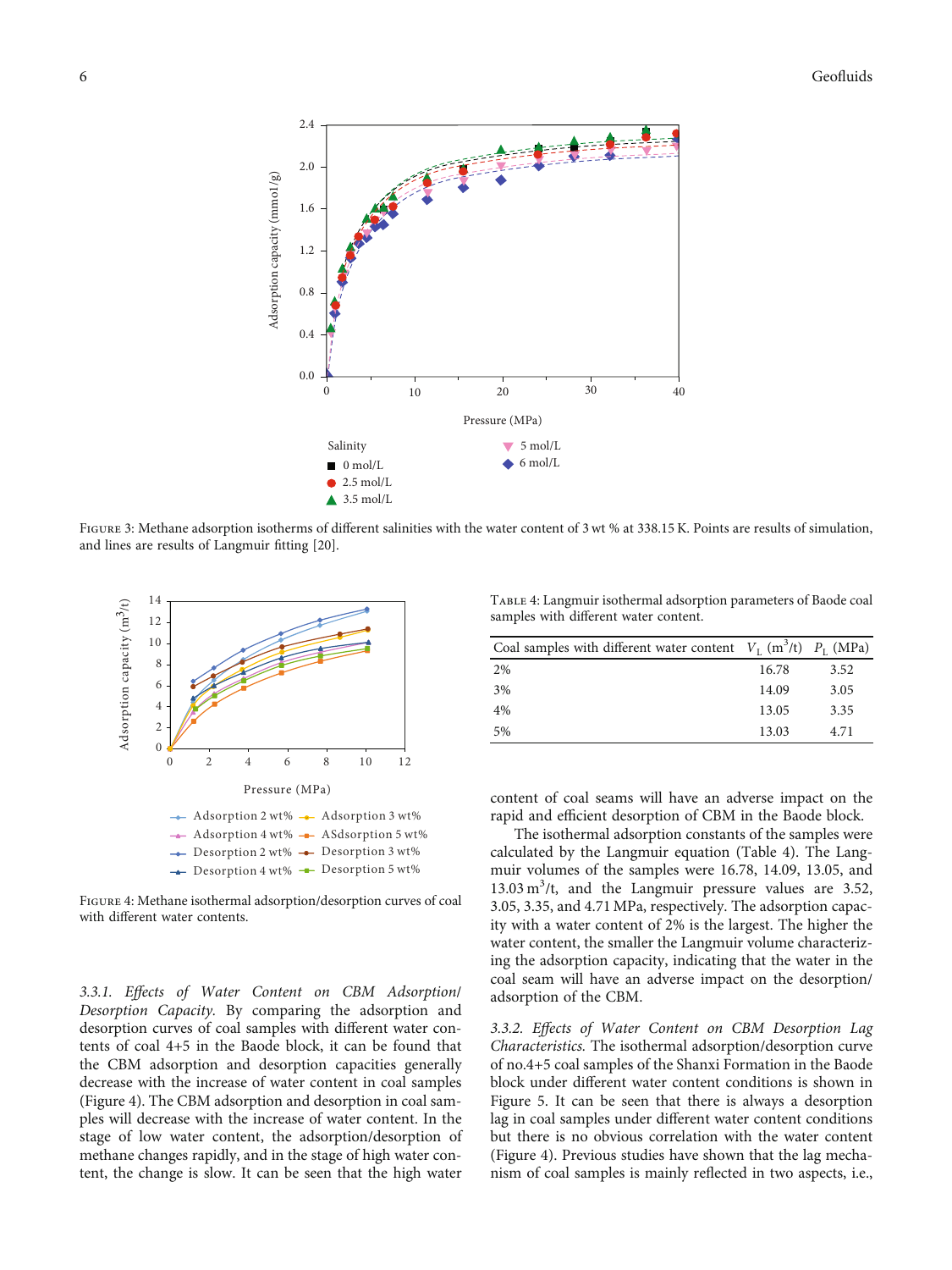<span id="page-5-0"></span>

FIGURE 3: Methane adsorption isotherms of different salinities with the water content of 3 wt % at 338.15 K. Points are results of simulation, and lines are results of Langmuir fitting [\[20\]](#page-8-0).



Figure 4: Methane isothermal adsorption/desorption curves of coal with different water contents.

3.3.1. Effects of Water Content on CBM Adsorption/ Desorption Capacity. By comparing the adsorption and desorption curves of coal samples with different water contents of coal 4+5 in the Baode block, it can be found that the CBM adsorption and desorption capacities generally decrease with the increase of water content in coal samples (Figure 4). The CBM adsorption and desorption in coal samples will decrease with the increase of water content. In the stage of low water content, the adsorption/desorption of methane changes rapidly, and in the stage of high water content, the change is slow. It can be seen that the high water

Table 4: Langmuir isothermal adsorption parameters of Baode coal samples with different water content.

| Coal samples with different water content $V_L$ (m <sup>3</sup> /t) $P_L$ (MPa) |       |      |
|---------------------------------------------------------------------------------|-------|------|
| 2%                                                                              | 16.78 | 3.52 |
| 3%                                                                              | 14.09 | 3.05 |
| 4%                                                                              | 13.05 | 3.35 |
| 5%                                                                              | 13.03 | 4.71 |

content of coal seams will have an adverse impact on the rapid and efficient desorption of CBM in the Baode block.

The isothermal adsorption constants of the samples were calculated by the Langmuir equation (Table 4). The Langmuir volumes of the samples were 16.78, 14.09, 13.05, and  $13.03 \text{ m}^3$ /t, and the Langmuir pressure values are 3.52, 3.05, 3.35, and 4.71 MPa, respectively. The adsorption capacity with a water content of 2% is the largest. The higher the water content, the smaller the Langmuir volume characterizing the adsorption capacity, indicating that the water in the coal seam will have an adverse impact on the desorption/ adsorption of the CBM.

3.3.2. Effects of Water Content on CBM Desorption Lag Characteristics. The isothermal adsorption/desorption curve of no.4+5 coal samples of the Shanxi Formation in the Baode block under different water content conditions is shown in Figure [5](#page-6-0). It can be seen that there is always a desorption lag in coal samples under different water content conditions but there is no obvious correlation with the water content (Figure 4). Previous studies have shown that the lag mechanism of coal samples is mainly reflected in two aspects, i.e.,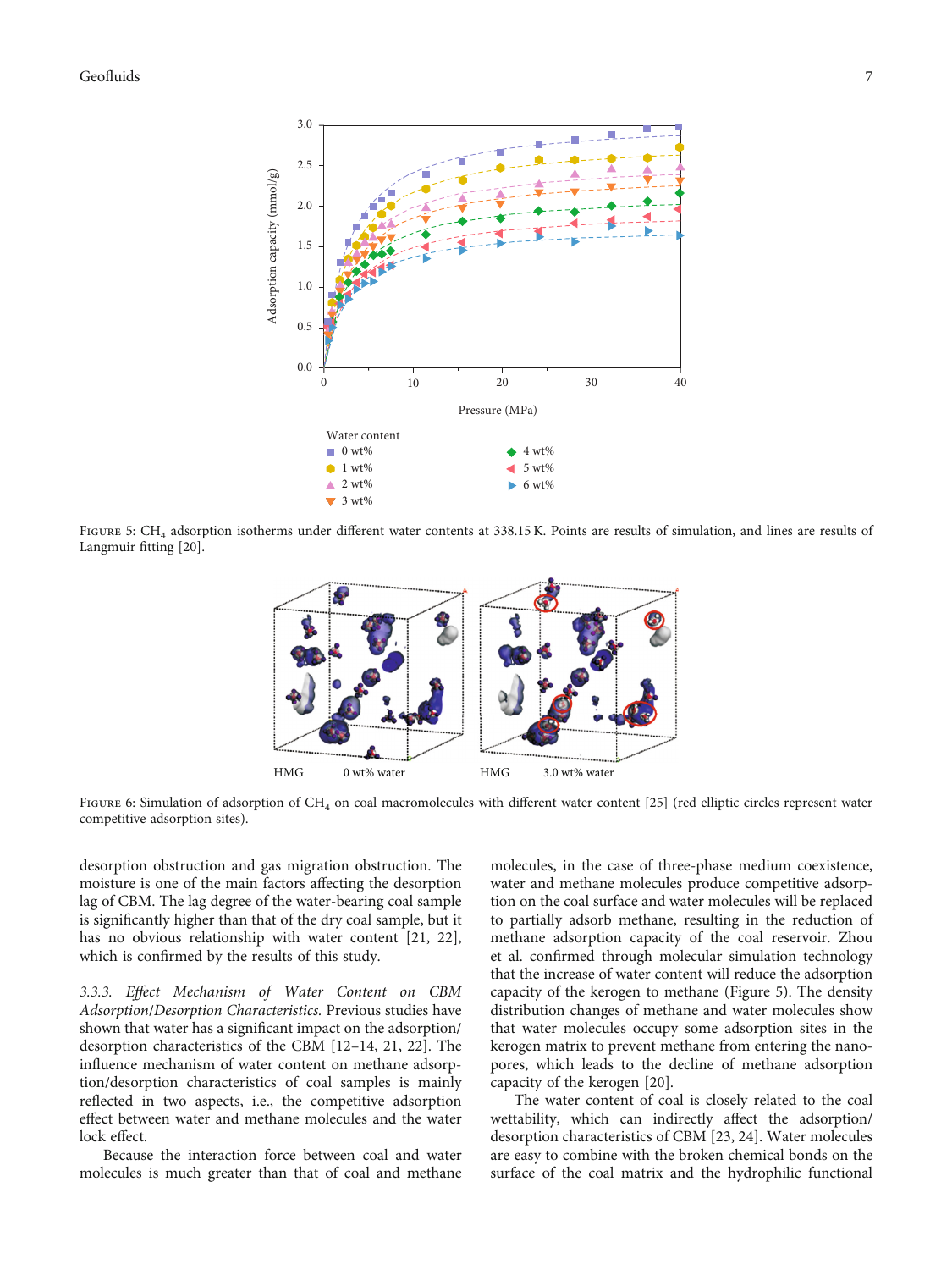<span id="page-6-0"></span>Geofluids 7



FIGURE 5: CH<sub>4</sub> adsorption isotherms under different water contents at 338.15 K. Points are results of simulation, and lines are results of Langmuir fitting [\[20\]](#page-8-0).



FIGURE 6: Simulation of adsorption of CH<sub>4</sub> on coal macromolecules with different water content [\[25](#page-8-0)] (red elliptic circles represent water competitive adsorption sites).

desorption obstruction and gas migration obstruction. The moisture is one of the main factors affecting the desorption lag of CBM. The lag degree of the water-bearing coal sample is significantly higher than that of the dry coal sample, but it has no obvious relationship with water content [\[21, 22](#page-8-0)], which is confirmed by the results of this study.

3.3.3. Effect Mechanism of Water Content on CBM Adsorption/Desorption Characteristics. Previous studies have shown that water has a significant impact on the adsorption/ desorption characteristics of the CBM [[12](#page-8-0)–[14, 21](#page-8-0), [22](#page-8-0)]. The influence mechanism of water content on methane adsorption/desorption characteristics of coal samples is mainly reflected in two aspects, i.e., the competitive adsorption effect between water and methane molecules and the water lock effect.

Because the interaction force between coal and water molecules is much greater than that of coal and methane molecules, in the case of three-phase medium coexistence, water and methane molecules produce competitive adsorption on the coal surface and water molecules will be replaced to partially adsorb methane, resulting in the reduction of methane adsorption capacity of the coal reservoir. Zhou et al. confirmed through molecular simulation technology that the increase of water content will reduce the adsorption capacity of the kerogen to methane (Figure 5). The density distribution changes of methane and water molecules show that water molecules occupy some adsorption sites in the kerogen matrix to prevent methane from entering the nanopores, which leads to the decline of methane adsorption capacity of the kerogen [\[20\]](#page-8-0).

The water content of coal is closely related to the coal wettability, which can indirectly affect the adsorption/ desorption characteristics of CBM [\[23, 24](#page-8-0)]. Water molecules are easy to combine with the broken chemical bonds on the surface of the coal matrix and the hydrophilic functional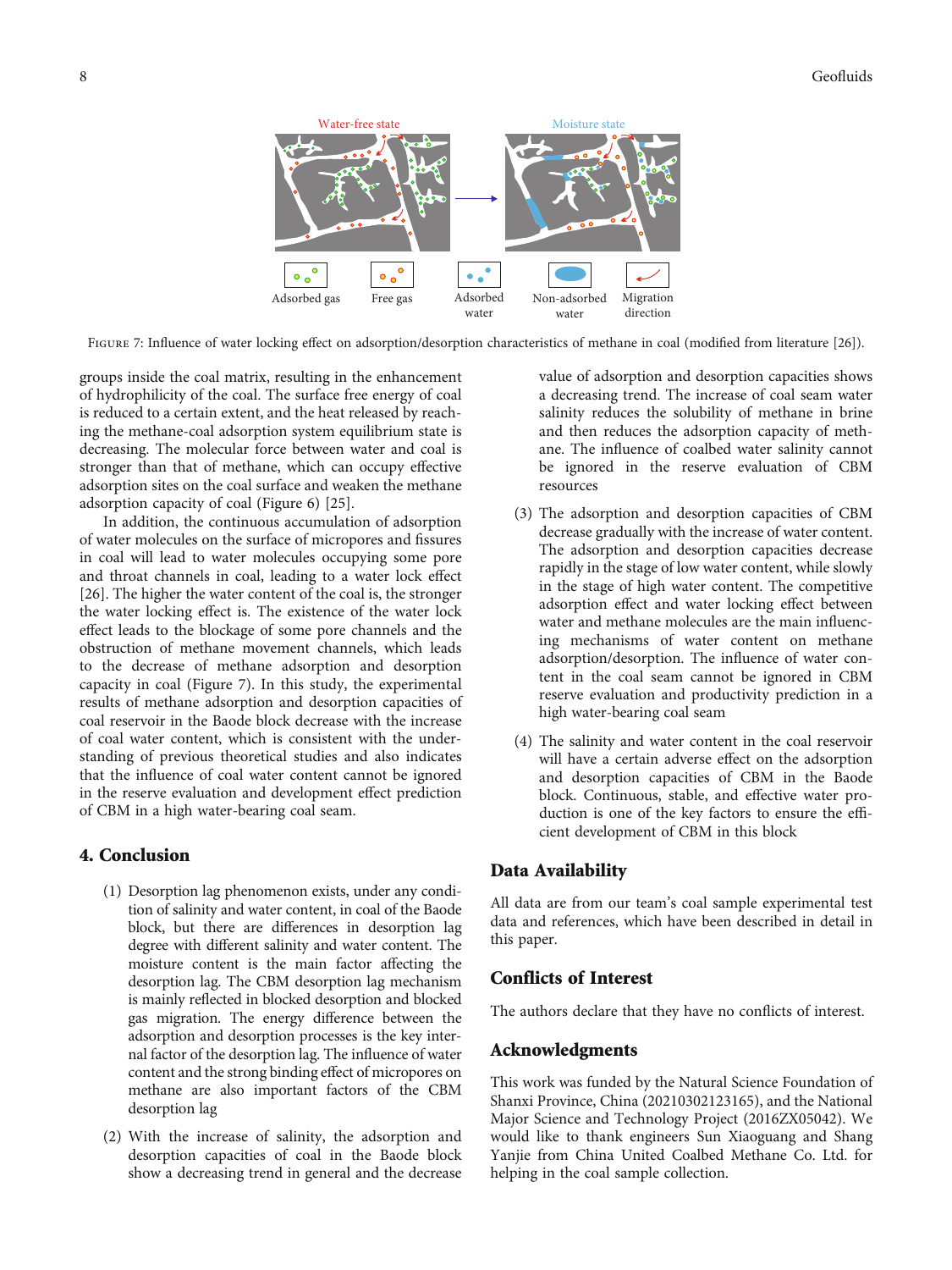

FIGURE 7: Influence of water locking effect on adsorption/desorption characteristics of methane in coal (modified from literature [\[26\]](#page-8-0)).

groups inside the coal matrix, resulting in the enhancement of hydrophilicity of the coal. The surface free energy of coal is reduced to a certain extent, and the heat released by reaching the methane-coal adsorption system equilibrium state is decreasing. The molecular force between water and coal is stronger than that of methane, which can occupy effective adsorption sites on the coal surface and weaken the methane adsorption capacity of coal (Figure [6](#page-6-0)) [\[25\]](#page-8-0).

In addition, the continuous accumulation of adsorption of water molecules on the surface of micropores and fissures in coal will lead to water molecules occupying some pore and throat channels in coal, leading to a water lock effect [\[26](#page-8-0)]. The higher the water content of the coal is, the stronger the water locking effect is. The existence of the water lock effect leads to the blockage of some pore channels and the obstruction of methane movement channels, which leads to the decrease of methane adsorption and desorption capacity in coal (Figure 7). In this study, the experimental results of methane adsorption and desorption capacities of coal reservoir in the Baode block decrease with the increase of coal water content, which is consistent with the understanding of previous theoretical studies and also indicates that the influence of coal water content cannot be ignored in the reserve evaluation and development effect prediction of CBM in a high water-bearing coal seam.

#### 4. Conclusion

- (1) Desorption lag phenomenon exists, under any condition of salinity and water content, in coal of the Baode block, but there are differences in desorption lag degree with different salinity and water content. The moisture content is the main factor affecting the desorption lag. The CBM desorption lag mechanism is mainly reflected in blocked desorption and blocked gas migration. The energy difference between the adsorption and desorption processes is the key internal factor of the desorption lag. The influence of water content and the strong binding effect of micropores on methane are also important factors of the CBM desorption lag
- (2) With the increase of salinity, the adsorption and desorption capacities of coal in the Baode block show a decreasing trend in general and the decrease

value of adsorption and desorption capacities shows a decreasing trend. The increase of coal seam water salinity reduces the solubility of methane in brine and then reduces the adsorption capacity of methane. The influence of coalbed water salinity cannot be ignored in the reserve evaluation of CBM resources

- (3) The adsorption and desorption capacities of CBM decrease gradually with the increase of water content. The adsorption and desorption capacities decrease rapidly in the stage of low water content, while slowly in the stage of high water content. The competitive adsorption effect and water locking effect between water and methane molecules are the main influencing mechanisms of water content on methane adsorption/desorption. The influence of water content in the coal seam cannot be ignored in CBM reserve evaluation and productivity prediction in a high water-bearing coal seam
- (4) The salinity and water content in the coal reservoir will have a certain adverse effect on the adsorption and desorption capacities of CBM in the Baode block. Continuous, stable, and effective water production is one of the key factors to ensure the efficient development of CBM in this block

#### Data Availability

All data are from our team's coal sample experimental test data and references, which have been described in detail in this paper.

#### Conflicts of Interest

The authors declare that they have no conflicts of interest.

## Acknowledgments

This work was funded by the Natural Science Foundation of Shanxi Province, China (20210302123165), and the National Major Science and Technology Project (2016ZX05042). We would like to thank engineers Sun Xiaoguang and Shang Yanjie from China United Coalbed Methane Co. Ltd. for helping in the coal sample collection.